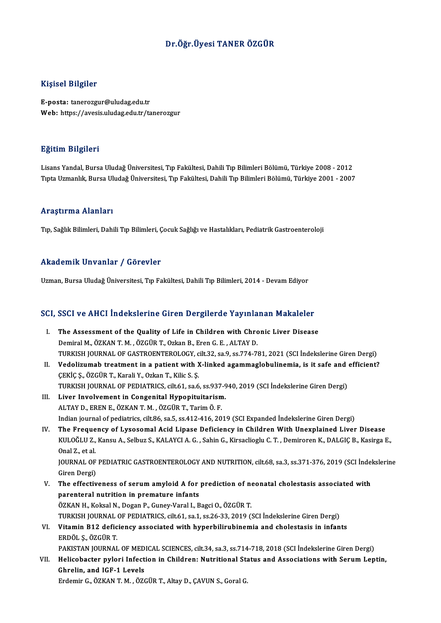### Dr.Öğr.Üyesi TANER ÖZGÜR

#### Kişisel Bilgiler

E-posta: tanerozgur@uludag.edu.tr Web: https://avesis.uludag.edu.tr/tanerozgur

#### Eğitim Bilgileri

LisansYandal,BursaUludağÜniversitesi,Tıp Fakültesi,DahiliTıpBilimleriBölümü,Türkiye 2008 -2012 TıptaUzmanlık,BursaUludağÜniversitesi,Tıp Fakültesi,DahiliTıpBilimleriBölümü,Türkiye 2001 -2007

#### Araştırma Alanları

Tıp, Sağlık Bilimleri, Dahili Tıp Bilimleri, Çocuk Sağlığı ve Hastalıkları, Pediatrik Gastroenteroloji

#### Akademik Unvanlar / Görevler

Uzman, Bursa Uludağ Üniversitesi, Tıp Fakültesi, Dahili Tıp Bilimleri, 2014 - Devam Ediyor

# ozman, bursa oludag oniversitesi, Tip Fakultesi, Daniil Tip Bilimleri, 2014 - Devam Ediyor<br>SCI, SSCI ve AHCI İndekslerine Giren Dergilerde Yayınlanan Makaleler

- CI, SSCI ve AHCI İndekslerine Giren Dergilerde Yayınlanan Makaleler<br>I. The Assessment of the Quality of Life in Children with Chronic Liver Disease<br>Dominal M. ÖZKAN T. M. ÖZCÜR T. Orkan B. Fran G. E. ALTAV D. The Assessment of the Quality of Life in Children with Chronic Liver Disease<br>Demiral M., ÖZKAN T. M., ÖZGÜR T., Ozkan B., Eren G. E., ALTAY D. TURKISH JOURNAL OF GASTROENTEROLOGY, cilt.32, sa.9, ss.774-781, 2021 (SCI İndekslerine Giren Dergi) Demiral M., ÖZKAN T. M. , ÖZGÜR T., Ozkan B., Eren G. E. , ALTAY D.<br>TURKISH JOURNAL OF GASTROENTEROLOGY, cilt.32, sa.9, ss.774-781, 2021 (SCI İndekslerine Giren Dergi)<br>II. Vedolizumab treatment in a patient with X-linked a
- ÇEKİÇ Ş., ÖZGÜR T., Karali Y., Ozkan T., Kilic S. Ş.<br>TURKISH JOURNAL OF PEDIATRICS, cilt.61, sa.6, ss.937-940, 2019 (SCI İndekslerine Giren Dergi) Vedolizumab treatment in a patient with X-linked agammaglobulinemia, is it safe and<br>ÇEKİÇ Ş., ÖZGÜR T., Karali Y., Ozkan T., Kilic S. Ş.<br>TURKISH JOURNAL OF PEDIATRICS, cilt.61, sa.6, ss.937-940, 2019 (SCI İndekslerine Gire
- III. Liver Involvement in Congenital Hypopituitarism. ALTAYD.,ERENE.,ÖZKANT.M. ,ÖZGÜRT.,TarimÖ.F. Liver Involvement in Congenital Hypopituitarism.<br>ALTAY D., EREN E., ÖZKAN T. M. , ÖZGÜR T., Tarim Ö. F.<br>Indian journal of pediatrics, cilt.86, sa.5, ss.412-416, 2019 (SCI Expanded İndekslerine Giren Dergi)<br>The Enequenov of ALTAY D., EREN E., ÖZKAN T. M. , ÖZGÜR T., Tarim Ö. F.<br>Indian journal of pediatrics, cilt.86, sa.5, ss.412-416, 2019 (SCI Expanded Indekslerine Giren Dergi)<br>IV. The Frequency of Lysosomal Acid Lipase Deficiency in Children
- Indian journal of pediatrics, cilt.86, sa.5, ss.412-416, 2019 (SCI Expanded İndekslerine Giren Dergi)<br>The Frequency of Lysosomal Acid Lipase Deficiency in Children With Unexplained Liver Disease<br>KULOĞLU Z., Kansu A., Selbu The Freque<br>KULOĞLU Z.,<br>Onal Z., et al.<br>JOUPNAL OF KULOĞLU Z., Kansu A., Selbuz S., KALAYCI A. G. , Sahin G., Kirsaclioglu C. T. , Demiroren K., DALGIÇ B., Kasirga E.,<br>Onal Z., et al.<br>JOURNAL OF PEDIATRIC GASTROENTEROLOGY AND NUTRITION, cilt.68, sa.3, ss.371-376, 2019 (SCI Onal Z., et al.<br>JOURNAL OF<br>Giren Dergi)<br>The effectiv

JOURNAL OF PEDIATRIC GASTROENTEROLOGY AND NUTRITION, cilt.68, sa.3, ss.371-376, 2019 (SCI Indel<br>Giren Dergi)<br>V. The effectiveness of serum amyloid A for prediction of neonatal cholestasis associated with<br>narontoral nutriti

Giren Dergi)<br>V. The effectiveness of serum amyloid A for prediction of neonatal cholestasis associated with<br>parenteral nutrition in premature infants ÖZKAN H., Koksal N., Dogan P., Guney-Varal I., Bagci O., ÖZGÜR T. parenteral nutrition in premature infants<br>ÖZKAN H., Koksal N., Dogan P., Guney-Varal I., Bagci O., ÖZGÜR T.<br>TURKISH JOURNAL OF PEDIATRICS, cilt.61, sa.1, ss.26-33, 2019 (SCI İndekslerine Giren Dergi)<br>Vitamin B12 deficiency

## VI. Vitamin B12 deficiency associated with hyperbilirubinemia and cholestasis in infants TURKISH JOURNAL<br>Vitamin B12 defic<br>ERDÖL Ş., ÖZGÜR T.<br>PAKISTAN JOURNAL

PAKISTAN JOURNAL OF MEDICAL SCIENCES, cilt.34, sa.3, ss.714-718, 2018 (SCI İndekslerine Giren Dergi)

## ERDÖL Ș., ÖZGÜR T.<br>PAKISTAN JOURNAL OF MEDICAL SCIENCES, cilt.34, sa.3, ss.714-718, 2018 (SCI İndekslerine Giren Dergi)<br>VII. Helicobacter pylori Infection in Children: Nutritional Status and Associations with Serum Lep Ghrelin, and IGF-1 Levels<br>Erdemir G., ÖZKAN T. M., ÖZGÜR T., Altay D., CAVUN S., Goral G. Helicobacter pylori Infection in Children: Nutritional Sta<br>Ghrelin, and IGF-1 Levels<br>Erdemir G., ÖZKAN T. M. , ÖZGÜR T., Altay D., ÇAVUN S., Goral G.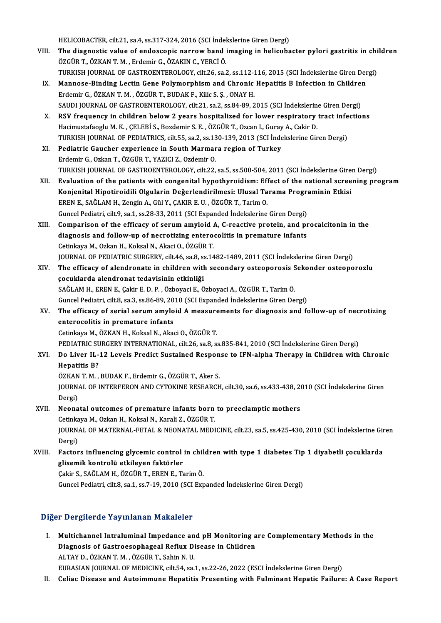HELICOBACTER, cilt.21, sa.4, ss.317-324, 2016 (SCI İndekslerine Giren Dergi)<br>The disgnestis value of andessenis nannaw band imaging in heliseba

- HELICOBACTER, cilt.21, sa.4, ss.317-324, 2016 (SCI İndekslerine Giren Dergi)<br>VIII. The diagnostic value of endoscopic narrow band imaging in helicobacter pylori gastritis in children<br>ÖZCÜP T. ÖZKAN T.M., Erdemir G. ÖZAKIN HELICOBACTER, cilt.21, sa.4, ss.317-324, 2016 (SCI İndel<br>The diagnostic value of endoscopic narrow band i<br>ÖZGÜR T., ÖZKAN T. M. , Erdemir G., ÖZAKIN C., YERCİ Ö.<br>TURKISH JOURNAL OF CASTROENTEROLOCY, silt 26, ss.? The diagnostic value of endoscopic narrow band imaging in helicobacter pylori gastritis in chi<br>ÖZGÜR T., ÖZKAN T. M. , Erdemir G., ÖZAKIN C., YERCİ Ö.<br>TURKISH JOURNAL OF GASTROENTEROLOGY, cilt.26, sa.2, ss.112-116, 2015 (S ÖZGÜR T., ÖZKAN T. M. , Erdemir G., ÖZAKIN C., YERCİ Ö.<br>TURKISH JOURNAL OF GASTROENTEROLOGY, cilt.26, sa.2, ss.112-116, 2015 (SCI İndekslerine Giren Der<br>IX. Mannose-Binding Lectin Gene Polymorphism and Chronic Hepatitis B
- TURKISH JOURNAL OF GASTROENTEROLOGY, cilt.26, sa.2, ss.112-116, 2015 (SCI İndekslerine Giren Dergi)<br>Mannose-Binding Lectin Gene Polymorphism and Chronic Hepatitis B Infection in Children<br>Erdemir G., ÖZKAN T. M. , ÖZGÜR T., Mannose-Binding Lectin Gene Polymorphism and Chronic Hepatitis B Infection in Children<br>Erdemir G., ÖZKAN T. M. , ÖZGÜR T., BUDAK F., Kilic S. Ş. , ONAY H.<br>SAUDI JOURNAL OF GASTROENTEROLOGY, cilt.21, sa.2, ss.84-89, 2015 (S
- Erdemir G., ÖZKAN T. M., ÖZGÜR T., BUDAK F., Kilic S. Ş., ONAY H.<br>SAUDI JOURNAL OF GASTROENTEROLOGY, cilt 21, sa.2, ss.84-89, 2015 (SCI İndekslerine Giren Dergi)<br>X. RSV frequency in children below 2 years hospitalized for SAUDI JOURNAL OF GASTROENTEROLOGY, cilt.21, sa.2, ss.84-89, 2015 (SCI İndekslerin<br>RSV frequency in children below 2 years hospitalized for lower respiratory<br>Hacimustafaoglu M. K. , ÇELEBİ S., Bozdemir S. E. , ÖZGÜR T., Ozc RSV frequency in children below 2 years hospitalized for lower respiratory tract infe<br>Hacimustafaoglu M. K. , ÇELEBİ S., Bozdemir S. E. , ÖZGÜR T., Ozcan I., Guray A., Cakir D.<br>TURKISH JOURNAL OF PEDIATRICS, cilt.55, sa.2, Hacimustafaoglu M. K., ÇELEBİ S., Bozdemir S. E., ÖZGÜR T., Ozcan I., Guray A., Cakir D.<br>TURKISH JOURNAL OF PEDIATRICS, cilt.55, sa.2, ss.130-139, 2013 (SCI İndekslerine Gir<br>XI. Pediatric Gaucher experience in South Marmar
- TURKISH JOURNAL OF PEDIATRICS, cilt.55, sa.2, ss.13<br>Pediatric Gaucher experience in South Marmar<br>Erdemir G., Ozkan T., ÖZGÜR T., YAZICI Z., Ozdemir O.<br>TURKISH JOURNAL OF GASTROENTEROLOGY, silt.22. TURKISH JOURNAL OF GASTROENTEROLOGY, cilt.22, sa.5, ss.500-504, 2011 (SCI İndekslerine Giren Dergi) Erdemir G., Ozkan T., ÖZGÜR T., YAZICI Z., Ozdemir O.<br>TURKISH JOURNAL OF GASTROENTEROLOGY, cilt.22, sa.5, ss.500-504, 2011 (SCI İndekslerine Giren Dergi)<br>XII. Evaluation of the patients with congenital hypothyroidism:
- TURKISH JOURNAL OF GASTROENTEROLOGY, cilt.22, sa.5, ss.500-504, 2011 (SCI İndekslerine Gire:<br>Evaluation of the patients with congenital hypothyroidism: Effect of the national scree<br>Konjenital Hipotiroidili Olgularin Değerl Evaluation of the patients with congenital hypothyroidism: Eff<br>Konjenital Hipotiroidili Olgularin Değerlendirilmesi: Ulusal Ta<br>EREN E., SAĞLAM H., Zengin A., Gül Y., ÇAKIR E. U. , ÖZGÜR T., Tarim O.<br>Cungel Pediatri silt 9, Konjenital Hipotiroidili Olgularin Değerlendirilmesi: Ulusal Tarama Programinin Etkisi<br>EREN E., SAĞLAM H., Zengin A., Gül Y., ÇAKIR E. U. , ÖZGÜR T., Tarim O.<br>Guncel Pediatri, cilt.9, sa.1, ss.28-33, 2011 (SCI Expanded İnd
- XIII. Comparison of the efficacy of serum amyloid A, C-reactive protein, and procalcitonin in the Guncel Pediatri, cilt.9, sa.1, ss.28-33, 2011 (SCI Expanded Indekslerine Giren Dergi)<br>Comparison of the efficacy of serum amyloid A, C-reactive protein, and pi<br>diagnosis and follow-up of necrotizing enterocolitis in premat Comparison of the efficacy of serum amyloid A<br>diagnosis and follow-up of necrotizing entero<br>Cetinkaya M., Ozkan H., Koksal N., Akaci O., ÖZGÜR T.<br>JOUPNAL OF PEDIATRIC SURCERY silt 46,99,9914 diagnosis and follow-up of necrotizing enterocolitis in premature infants<br>Cetinkaya M., Ozkan H., Koksal N., Akaci O., ÖZGÜR T.<br>JOURNAL OF PEDIATRIC SURGERY, cilt.46, sa.8, ss.1482-1489, 2011 (SCI İndekslerine Giren Dergi) Cetinkaya M., Ozkan H., Koksal N., Akaci O., ÖZGÜR T.<br>JOURNAL OF PEDIATRIC SURGERY, cilt.46, sa.8, ss.1482-1489, 2011 (SCI İndekslerine Giren Dergi)<br>XIV. The efficacy of alendronate in children with secondary osteoporo
- çocuklarda alendronat tedavisinin etkinliǧi SAĞLAMH.,ERENE.,Çakir E.D.P. ,ÖzboyaciE.,ÖzboyaciA.,ÖZGÜRT.,TarimÖ. çocuklarda alendronat tedavisinin etkinliği<br>SAĞLAM H., EREN E., Çakir E. D. P. , Özboyaci E., Özboyaci A., ÖZGÜR T., Tarim Ö.<br>Guncel Pediatri, cilt.8, sa.3, ss.86-89, 2010 (SCI Expanded İndekslerine Giren Dergi)<br>The effice SAĞLAM H., EREN E., Çakir E. D. P. , Özboyaci E., Özboyaci A., ÖZGÜR T., Tarim Ö.<br>Guncel Pediatri, cilt.8, sa.3, ss.86-89, 2010 (SCI Expanded İndekslerine Giren Dergi)<br>XV. The efficacy of serial serum amyloid A measure
- Guncel Pediatri, cilt.8, sa.3, ss.86-89, 20<br>The efficacy of serial serum amylo<br>enterocolitis in premature infants<br>Cetinkova M. ÖZKAN H. Keksal N. Aka The efficacy of serial serum amyloid A measure<br>enterocolitis in premature infants<br>Cetinkaya M., ÖZKAN H., Koksal N., Akaci O., ÖZGÜR T.<br>PEDIATRIC SURCERY INTERMATIONAL, sik 26, 88, 89 enterocolitis in premature infants<br>Cetinkaya M., ÖZKAN H., Koksal N., Akaci O., ÖZGÜR T.<br>PEDIATRIC SURGERY INTERNATIONAL, cilt.26, sa.8, ss.835-841, 2010 (SCI İndekslerine Giren Dergi)<br>De Liver II. 12 Levela Predist Sustai
	-

## Cetinkaya M., ÖZKAN H., Koksal N., Akaci O., ÖZGÜR T.<br>PEDIATRIC SURGERY INTERNATIONAL, cilt.26, sa.8, ss.835-841, 2010 (SCI İndekslerine Giren Dergi)<br>XVI. Do Liver IL-12 Levels Predict Sustained Response to IFN-alpha T PEDIATRIC SU<br>Do Liver IL-<br>Hepatitis B?<br>ÖZKAN T M Do Liver IL-12 Levels Predict Sustained Respon<br>Hepatitis B?<br>ÖZKAN T. M. , BUDAK F., Erdemir G., ÖZGÜR T., Aker S.<br>JOUPMAL OF INTEREERON AND CYTOKINE RESEARCH

Hepatitis B?<br>ÖZKAN T. M. , BUDAK F., Erdemir G., ÖZGÜR T., Aker S.<br>JOURNAL OF INTERFERON AND CYTOKINE RESEARCH, cilt.30, sa.6, ss.433-438, 2010 (SCI İndekslerine Giren<br>Dergi) ÖZKAN T. M., BUDAK F., Erdemir G., ÖZGÜR T., Aker S. JOURNAL OF INTERFERON AND CYTOKINE RESEARCH, cilt.30, sa.6, ss.433-438, 20<br>Dergi)<br>XVII. Neonatal outcomes of premature infants born to preeclamptic mothers<br>Cetinlinus M. Orkan H. Keksel N. Kereli 7, ÖZCÜR T.

## Dergi)<br>Neonatal outcomes of premature infants born<br>Cetinkaya M., Ozkan H., Koksal N., Karali Z., ÖZGÜR T.<br>JOUPNAL OE MATEPNAL EETAL & NEONATAL MEDI Neonatal outcomes of premature infants born to preeclamptic mothers<br>Cetinkaya M., Ozkan H., Koksal N., Karali Z., ÖZGÜR T.<br>JOURNAL OF MATERNAL-FETAL & NEONATAL MEDICINE, cilt.23, sa.5, ss.425-430, 2010 (SCI İndekslerine Gi Cetinka<br>JOURN<br>Dergi)<br>Easter JOURNAL OF MATERNAL-FETAL & NEONATAL MEDICINE, cilt.23, sa.5, ss.425-430, 2010 (SCI İndekslerine Gir<br>Dergi)<br>XVIII. Factors influencing glycemic control in children with type 1 diabetes Tip 1 diyabetli çocuklarda<br>Tisomik ko

## Dergi)<br>XVIII. Factors influencing glycemic control in children with type 1 diabetes Tip 1 diyabetli çocuklarda<br>glisemik kontrolü etkileyen faktörler

Çakir S.,SAĞLAMH.,ÖZGÜRT.,ERENE.,TarimÖ. Guncel Pediatri, cilt.8, sa.1, ss.7-19, 2010 (SCI Expanded İndekslerine Giren Dergi)

### Diğer Dergilerde Yayınlanan Makaleler

- Iger Dergilerde Yayınlanan Makaleler<br>I. Multichannel Intraluminal Impedance and pH Monitoring are Complementary Methods in the<br>Diagnosis of Castrossenbagoal Beflux Diagase in Children n Bergherde Taymmandh Makareter<br>Multichannel Intraluminal Impedance and pH Monitoring a<br>Diagnosis of Gastroesophageal Reflux Disease in Children<br>ALTAV D. ÖZKAN T.M., ÖZCÜR T. Sobin N.H. Multichannel Intraluminal Impedance an<br>Diagnosis of Gastroesophageal Reflux Di<br>ALTAY D., ÖZKAN T. M. , ÖZGÜR T., Sahin N. U.<br>EURASIAN JOURNAL OF MEDICINE silt 54, Sa Diagnosis of Gastroesophageal Reflux Disease in Children<br>ALTAY D., ÖZKAN T. M. , ÖZGÜR T., Sahin N. U.<br>EURASIAN JOURNAL OF MEDICINE, cilt.54, sa.1, ss.22-26, 2022 (ESCI İndekslerine Giren Dergi)
- II. Celiac Disease and Autoimmune Hepatitis Presenting with Fulminant Hepatic Failure: A Case Report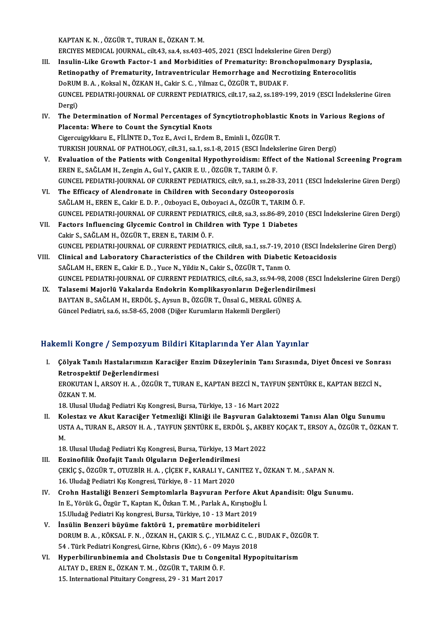KAPTANK.N. ,ÖZGÜRT.,TURANE.,ÖZKANT.M.

ERCIYESMEDICAL JOURNAL, cilt.43, sa.4, ss.403-405,2021 (ESCI İndekslerineGirenDergi)

- KAPTAN K. N. , ÖZGÜR T., TURAN E., ÖZKAN T. M.<br>ERCIYES MEDICAL JOURNAL, cilt.43, sa.4, ss.403-405, 2021 (ESCI İndekslerine Giren Dergi)<br>III. Insulin-Like Growth Factor-1 and Morbidities of Prematurity: Bronchopulmonary Dys ERCIYES MEDICAL JOURNAL, cilt.43, sa.4, ss.403-405, 2021 (ESCI İndekslerine Giren Dergi)<br>Insulin-Like Growth Factor-1 and Morbidities of Prematurity: Bronchopulmonary Dyspl:<br>Retinopathy of Prematurity, Intraventricular Hem Insulin-Like Growth Factor-1 and Morbidities of Prematurity: Bronc<br>Retinopathy of Prematurity, Intraventricular Hemorrhage and Necre<br>DoRUM B.A., Koksal N., ÖZKAN H., Cakir S. C., Yilmaz C., ÖZGÜR T., BUDAK F.<br>CUNCEL PEDIAT Retinopathy of Prematurity, Intraventricular Hemorrhage and Necrotizing Enterocolitis<br>DoRUM B. A. , Koksal N., ÖZKAN H., Cakir S. C. , Yilmaz C., ÖZGÜR T., BUDAK F.<br>GUNCEL PEDIATRI-JOURNAL OF CURRENT PEDIATRICS, cilt.17, s DoRUM<br>GUNCE<br>Dergi)<br>The De GUNCEL PEDIATRI-JOURNAL OF CURRENT PEDIATRICS, cilt.17, sa.2, ss.189-199, 2019 (ESCI Indekslerine Gire<br>Dergi)<br>IV. The Determination of Normal Percentages of Syncytiotrophoblastic Knots in Various Regions of<br>Placenta: Whare
- Dergi)<br>IV. The Determination of Normal Percentages of Syncytiotrophoblastic Knots in Various Regions of<br>Placenta: Where to Count the Syncytial Knots CigercuigykkaruE.,FİLİNTED.,TozE.,Avci I.,ErdemB.,Eminli I.,ÖZGÜRT. TURKISHJOURNALOF PATHOLOGY, cilt.31, sa.1, ss.1-8,2015 (ESCI İndekslerineGirenDergi)
- V. Evaluation of the Patients with Congenital Hypothyroidism: Effect of the National Screening Program ERENE.,SAĞLAMH.,ZenginA.,GulY.,ÇAKIRE.U. ,ÖZGÜRT.,TARIMÖ.F. Evaluation of the Patients with Congenital Hypothyroidism: Effect of the National Screening Program<br>EREN E., SAĞLAM H., Zengin A., Gul Y., ÇAKIR E. U. , ÖZGÜR T., TARIM Ö. F.<br>GUNCEL PEDIATRI-JOURNAL OF CURRENT PEDIATRICS, EREN E., SAĞLAM H., Zengin A., Gul Y., ÇAKIR E. U., ÖZGÜR T., TARIM Ö. F.<br>GUNCEL PEDIATRI-JOURNAL OF CURRENT PEDIATRICS, cilt.9, sa.1, ss.28-33, 20<br>VI. The Efficacy of Alendronate in Children with Secondary Osteoporosis<br>SA
- GUNCEL PEDIATRI-JOURNAL OF CURRENT PEDIATRICS, cilt.9, sa.1, ss.28-33, 2011<br>The Efficacy of Alendronate in Children with Secondary Osteoporosis<br>SAĞLAM H., EREN E., Cakir E. D. P. , Ozboyaci E., Ozboyaci A., ÖZGÜR T., TARIM The Efficacy of Alendronate in Children with Secondary Osteoporosis<br>SAĞLAM H., EREN E., Cakir E. D. P. , Ozboyaci E., Ozboyaci A., ÖZGÜR T., TARIM Ö. F.<br>GUNCEL PEDIATRI-JOURNAL OF CURRENT PEDIATRICS, cilt.8, sa.3, ss.86-89 SAĞLAM H., EREN E., Cakir E. D. P. , Ozboyaci E., Ozboyaci A., ÖZGÜR T., TARIM Ö. F.<br>GUNCEL PEDIATRI-JOURNAL OF CURRENT PEDIATRICS, cilt8, sa.3, ss.86-89, 2010<br>VII. Factors Influencing Glycemic Control in Children with Typ
- GUNCEL PEDIATRI-JOURNAL OF CURRENT PEDIATR<br>Factors Influencing Glycemic Control in Childi<br>Cakir S., SAĞLAM H., ÖZGÜR T., EREN E., TARIM Ö. F.<br>CUNCEL PEDIATRI JOURNAL OF CURRENT PEDIATR Factors Influencing Glycemic Control in Children with Type 1 Diabetes<br>Cakir S., SAĞLAM H., ÖZGÜR T., EREN E., TARIM Ö. F.<br>GUNCEL PEDIATRI-JOURNAL OF CURRENT PEDIATRICS, cilt.8, sa.1, ss.7-19, 2010 (ESCI İndekslerine Giren Cakir S., SAĞLAM H., ÖZGÜR T., EREN E., TARIM Ö. F.<br>GUNCEL PEDIATRI-JOURNAL OF CURRENT PEDIATRICS, cilt.8, sa.1, ss.7-19, 2010 (ESCI İndeks<br>VIII. Clinical and Laboratory Characteristics of the Children with Diabetic Ketoac
- GUNCEL PEDIATRI-JOURNAL OF CURRENT PEDIATRICS, cilt8, sa.1, ss.7-19, 20<br>Clinical and Laboratory Characteristics of the Children with Diabetic<br>SAĞLAM H., EREN E., Cakir E. D. , Yuce N., Yildiz N., Cakir S., ÖZGÜR T., Tanm O VIII. Clinical and Laboratory Characteristics of the Children with Diabetic Ketoacidosis<br>SAĞLAM H., EREN E., Cakir E. D., Yuce N., Yildiz N., Cakir S., ÖZGÜR T., Tanm O.<br>GUNCEL PEDIATRI-JOURNAL OF CURRENT PEDIATRICS, cilt.
- IX. Talasemi Majorlü Vakalarda Endokrin Komplikasyonların Değerlendirilmesi GUNCEL PEDIATRI-JOURNAL OF CURRENT PEDIATRICS, cilt.6, sa.3, ss.94-98, 2008<br>Talasemi Majorlü Vakalarda Endokrin Komplikasyonların Değerlendirilr<br>BAYTAN B., SAĞLAM H., ERDÖL Ş., Aysun B., ÖZGÜR T., Ünsal G., MERAL GÜNEŞ A.<br> Talasemi Majorlü Vakalarda Endokrin Komplikasyonların Değerle:<br>BAYTAN B., SAĞLAM H., ERDÖL Ş., Aysun B., ÖZGÜR T., Ünsal G., MERAL GÜ<br>Güncel Pediatri, sa.6, ss.58-65, 2008 (Diğer Kurumların Hakemli Dergileri)

## Güncel Pediatri, sa.6, ss.58-65, 2008 (Diğer Kurumların Hakemli Dergileri)<br>Hakemli Kongre / Sempozyum Bildiri Kitaplarında Yer Alan Yayınlar

- akemli Kongre / Sempozyum Bildiri Kitaplarında Yer Alan Yayınlar<br>I. Çölyak Tanılı Hastalarımızın Karaciğer Enzim Düzeylerinin Tanı Sırasında, Diyet Öncesi ve Sonrası<br>Retrespektif Değerlendirmesi rann kongre 7 somponyum<br>Çölyak Tanılı Hastalarımızın K<br>Retrospektif Değerlendirmesi<br>FROVUTANİ ARSOVHA ÖZCÜ Çölyak Tanılı Hastalarımızın Karaciğer Enzim Düzeylerinin Tanı Sırasında, Diyet Öncesi ve Sonr:<br>Retrospektif Değerlendirmesi<br>EROKUTAN İ., ARSOY H. A. , ÖZGÜR T., TURAN E., KAPTAN BEZCİ N., TAYFUN ŞENTÜRK E., KAPTAN BEZCİ N Retrospekti<br>EROKUTAN İ<br>ÖZKAN T. M.<br>19. Ulucal Ul EROKUTAN İ., ARSOY H. A. , ÖZGÜR T., TURAN E., KAPTAN BEZCİ N., TAYFU.<br>ÖZKAN T. M.<br>18. Ulusal Uludağ Pediatri Kış Kongresi, Bursa, Türkiye, 13 - 16 Mart 2022<br>Kolostar ve Alut Karasiğer Vetmerliği Kliniği ile Besunnan Gelek ÖZKAN T. M.<br>18. Ulusal Uludağ Pediatri Kış Kongresi, Bursa, Türkiye, 13 - 16 Mart 2022<br>II. Kolestaz ve Akut Karaciğer Yetmezliği Kliniği ile Başvuran Galaktozemi Tanısı Alan Olgu Sunumu<br>1955 A. TUPAN E. ARSOV H. A.
- 18. Ulusal Uludağ Pediatri Kış Kongresi, Bursa, Türkiye, 13 16 Mart 2022<br>Kolestaz ve Akut Karaciğer Yetmezliği Kliniği ile Başvuran Galaktozemi Tanısı Alan Olgu Sunumu<br>USTA A., TURAN E., ARSOY H. A. , TAYFUN ŞENTÜRK E., Ko<br>US<br>M. USTA A., TURAN E., ARSOY H. A. , TAYFUN ŞENTÜRK E., ERDÖL Ş., AKBEY KOÇAK T., ERSOY A., ÖZGÜR T., ÖZKAN T.<br>M.<br>18. Ulusal Uludağ Pediatri Kış Kongresi, Bursa, Türkiye, 13 Mart 2022

- M.<br>18. Ulusal Uludağ Pediatri Kış Kongresi, Bursa, Türkiye, 13 M.<br>III. Eozinofilik Özofajit Tanılı Olguların Değerlendirilmesi<br>CEKİS ÖZCÜP T. OTUZPİR H.A., CİCEK E. KARALLY, SANI ÇEKİÇ Ş., ÖZGÜR T., OTUZBİR H. A. , ÇİÇEK F., KARALI Y., CANITEZ Y., ÖZKAN T. M. , SAPAN N.<br>16. Uludağ Pediatri Kış Kongresi, Türkiye, 8 - 11 Mart 2020 Eozinofilik Özofajit Tanılı Olguların Değerlendirilmes<br>ÇEKİÇ Ş., ÖZGÜR T., OTUZBİR H. A. , ÇİÇEK F., KARALI Y., CAN<br>16. Uludağ Pediatri Kış Kongresi, Türkiye, 8 - 11 Mart 2020<br>Crehn Hastaliği Bengeri Semntemlarla Besuuran CEKİÇ Ş., ÖZGÜR T., OTUZBİR H. A. , ÇİÇEK F., KARALI Y., CANITEZ Y., ÖZKAN T. M. , SAPAN N.<br>16. Uludağ Pediatri Kış Kongresi, Türkiye, 8 - 11 Mart 2020<br>IV. Crohn Hastaliği Benzeri Semptomlarla Başvuran Perfore Akut Apandis
- 16. Uludağ Pediatri Kış Kongresi, Türkiye, 8 11 Mart 2020<br>Crohn Hastaliği Benzeri Semptomlarla Başvuran Perfore Akut<br>In E., Yörük G., Özgür T., Kaptan K., Özkan T. M. , Parlak A., Kırıştıoğlu İ.<br>15 Uludağ Pediatri Kış ka In E., Yörük G., Özgür T., Kaptan K., Özkan T. M. , Parlak A., Kırıştıoğlu İ.<br>15.Uludağ Pediatri Kış kongresi, Bursa, Türkiye, 10 - 13 Mart 2019
- V. İnsülin Benzeri büyüme faktörü 1, prematüre morbiditeleri 15.Uludağ Pediatri Kış kongresi, Bursa, Türkiye, 10 - 13 Mart 2019<br>İnsülin Benzeri büyüme faktörü 1, prematüre morbiditeleri<br>DORUM B. A. , KÖKSAL F. N. , ÖZKAN H., ÇAKIR S. Ç. , YILMAZ C. C. , BUDAK F., ÖZGÜR T.<br>54 , Türk İnsülin Benzeri büyüme faktörü 1, prematüre morbiditeleri<br>DORUM B. A. , KÖKSAL F. N. , ÖZKAN H., ÇAKIR S. Ç. , YILMAZ C. C. , I<br>54 . Türk Pediatri Kongresi, Girne, Kıbrıs (Kktc), 6 - 09 Mayıs 2018<br>Hunophilinunbinemia and C DORUM B. A., KÖKSAL F. N., ÖZKAN H., ÇAKIR S. Ç., YILMAZ C. C., BUDAK F., ÖZG<br>54 . Türk Pediatri Kongresi, Girne, Kıbrıs (Kktc), 6 - 09 Mayıs 2018<br>VI. Hyperbilirunbinemia and Cholstasis Due tı Congenital Hypopituitarism<br>AL
- 54 . Türk Pediatri Kongresi, Girne, Kıbrıs (Kktc), 6 09 M<br>Hyperbilirunbinemia and Cholstasis Due tı Conge<br>ALTAY D., EREN E., ÖZKAN T. M. , ÖZGÜR T., TARIM Ö. F.<br>15 .International Bituitary Congress 29 21 Mert 2017 Hyperbilirunbinemia and Cholstasis Due tı Cong<br>ALTAY D., EREN E., ÖZKAN T. M. , ÖZGÜR T., TARIM Ö. F<br>15. International Pituitary Congress, 29 - 31 Mart 2017